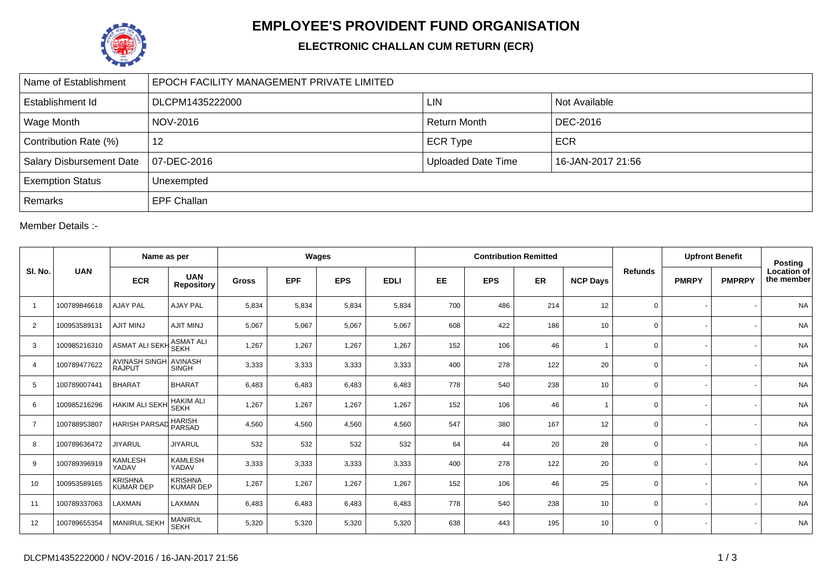

## **EMPLOYEE'S PROVIDENT FUND ORGANISATION**

## **ELECTRONIC CHALLAN CUM RETURN (ECR)**

| Name of Establishment           | EPOCH FACILITY MANAGEMENT PRIVATE LIMITED |                           |                   |  |  |  |  |  |  |  |
|---------------------------------|-------------------------------------------|---------------------------|-------------------|--|--|--|--|--|--|--|
| Establishment Id                | DLCPM1435222000                           | <b>LIN</b>                | Not Available     |  |  |  |  |  |  |  |
| Wage Month                      | NOV-2016                                  | <b>Return Month</b>       | DEC-2016          |  |  |  |  |  |  |  |
| Contribution Rate (%)           | 12                                        | <b>ECR Type</b>           | <b>ECR</b>        |  |  |  |  |  |  |  |
| <b>Salary Disbursement Date</b> | 07-DEC-2016                               | <b>Uploaded Date Time</b> | 16-JAN-2017 21:56 |  |  |  |  |  |  |  |
| <b>Exemption Status</b>         | Unexempted                                |                           |                   |  |  |  |  |  |  |  |
| Remarks                         | EPF Challan                               |                           |                   |  |  |  |  |  |  |  |

Member Details :-

|                | <b>UAN</b>   | Name as per                           |                                    | Wages        |            |            |             |           | <b>Contribution Remitted</b> |     |                 | <b>Upfront Benefit</b> |              | <b>Posting</b> |                                  |
|----------------|--------------|---------------------------------------|------------------------------------|--------------|------------|------------|-------------|-----------|------------------------------|-----|-----------------|------------------------|--------------|----------------|----------------------------------|
| SI. No.        |              | <b>ECR</b>                            | <b>UAN</b><br><b>Repository</b>    | <b>Gross</b> | <b>EPF</b> | <b>EPS</b> | <b>EDLI</b> | <b>EE</b> | <b>EPS</b>                   | ER  | <b>NCP Days</b> | <b>Refunds</b>         | <b>PMRPY</b> | <b>PMPRPY</b>  | <b>Location of</b><br>the member |
| -1             | 100789846618 | <b>AJAY PAL</b>                       | <b>AJAY PAL</b>                    | 5,834        | 5,834      | 5,834      | 5,834       | 700       | 486                          | 214 | 12              | $\mathbf 0$            |              |                | <b>NA</b>                        |
| $\overline{2}$ | 100953589131 | <b>AJIT MINJ</b>                      | AJIT MINJ                          | 5,067        | 5,067      | 5,067      | 5,067       | 608       | 422                          | 186 | 10 <sup>1</sup> | $\mathbf 0$            |              |                | <b>NA</b>                        |
| 3              | 100985216310 | <b>ASMAT ALI SEKH</b>                 | <b>ASMAT ALI</b><br><b>SEKH</b>    | 1,267        | 1,267      | 1,267      | 1,267       | 152       | 106                          | 46  |                 | $\mathbf 0$            |              |                | <b>NA</b>                        |
| $\overline{4}$ | 100789477622 | <b>AVINASH SINGH</b><br><b>RAJPUT</b> | <b>AVINASH</b><br><b>SINGH</b>     | 3,333        | 3,333      | 3,333      | 3,333       | 400       | 278                          | 122 | 20              | $\mathbf 0$            |              |                | <b>NA</b>                        |
| 5              | 100789007441 | <b>BHARAT</b>                         | <b>BHARAT</b>                      | 6,483        | 6,483      | 6,483      | 6,483       | 778       | 540                          | 238 | 10              | $\mathbf 0$            |              |                | <b>NA</b>                        |
| 6              | 100985216296 | <b>HAKIM ALI SEKH</b>                 | <b>HAKIM ALI</b><br><b>SEKH</b>    | 1,267        | 1,267      | 1,267      | 1,267       | 152       | 106                          | 46  |                 | 0                      |              |                | <b>NA</b>                        |
| $\overline{7}$ | 100788953807 | <b>HARISH PARSAD</b>                  | <b>HARISH</b><br>PARSAD            | 4,560        | 4,560      | 4,560      | 4,560       | 547       | 380                          | 167 | 12              | $\mathbf 0$            |              |                | <b>NA</b>                        |
| 8              | 100789636472 | <b>JIYARUL</b>                        | <b>JIYARUL</b>                     | 532          | 532        | 532        | 532         | 64        | 44                           | 20  | 28              | $\mathbf 0$            |              |                | <b>NA</b>                        |
| 9              | 100789396919 | KAMLESH<br>YADAV                      | <b>KAMLESH</b><br>YADAV            | 3,333        | 3,333      | 3,333      | 3,333       | 400       | 278                          | 122 | 20              | $\mathbf 0$            |              |                | <b>NA</b>                        |
| 10             | 100953589165 | <b>KRISHNA</b><br><b>KUMAR DEP</b>    | <b>KRISHNA</b><br><b>KUMAR DEP</b> | 1,267        | 1,267      | 1,267      | 1,267       | 152       | 106                          | 46  | 25              | $\mathbf 0$            |              |                | <b>NA</b>                        |
| 11             | 100789337063 | LAXMAN                                | LAXMAN                             | 6,483        | 6,483      | 6,483      | 6,483       | 778       | 540                          | 238 | 10              | $\mathbf 0$            |              |                | <b>NA</b>                        |
| 12             | 100789655354 | <b>MANIRUL SEKH</b>                   | MANIRUL<br>SEKH                    | 5,320        | 5,320      | 5,320      | 5,320       | 638       | 443                          | 195 | 10              | $\mathbf 0$            |              |                | <b>NA</b>                        |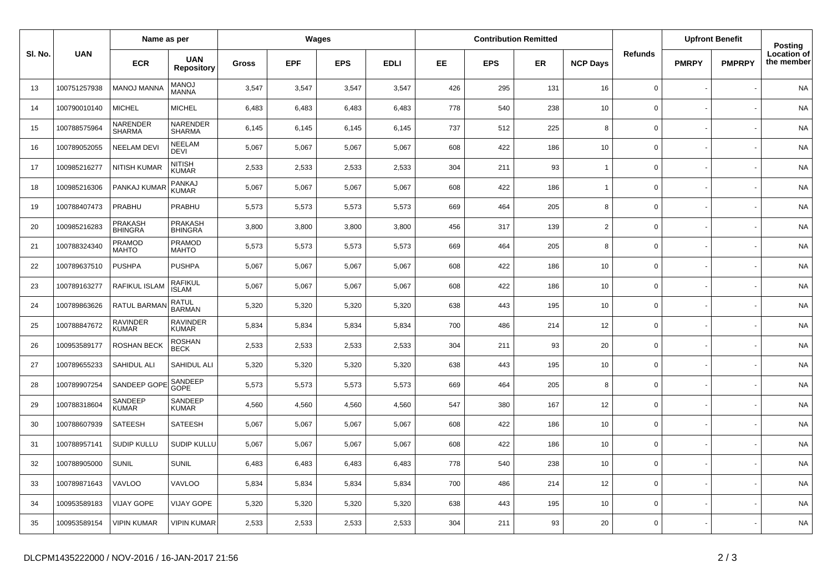|         | <b>UAN</b>   | Name as per               |                                  | Wages        |            |            |             |     |            | <b>Contribution Remitted</b> |                 |                     | <b>Upfront Benefit</b> |               | Posting                   |
|---------|--------------|---------------------------|----------------------------------|--------------|------------|------------|-------------|-----|------------|------------------------------|-----------------|---------------------|------------------------|---------------|---------------------------|
| SI. No. |              | <b>ECR</b>                | <b>UAN</b><br><b>Repository</b>  | <b>Gross</b> | <b>EPF</b> | <b>EPS</b> | <b>EDLI</b> | EE. | <b>EPS</b> | ER                           | <b>NCP Days</b> | <b>Refunds</b>      | <b>PMRPY</b>           | <b>PMPRPY</b> | Location of<br>the member |
| 13      | 100751257938 | <b>MANOJ MANNA</b>        | <b>MANOJ</b><br><b>MANNA</b>     | 3,547        | 3,547      | 3,547      | 3,547       | 426 | 295        | 131                          | 16              | $\mathbf 0$         |                        |               | <b>NA</b>                 |
| 14      | 100790010140 | <b>MICHEL</b>             | <b>MICHEL</b>                    | 6,483        | 6,483      | 6,483      | 6,483       | 778 | 540        | 238                          | 10              | $\mathsf{O}\xspace$ |                        |               | <b>NA</b>                 |
| 15      | 100788575964 | NARENDER<br><b>SHARMA</b> | NARENDER<br><b>SHARMA</b>        | 6,145        | 6,145      | 6,145      | 6,145       | 737 | 512        | 225                          | 8               | $\mathbf 0$         |                        |               | <b>NA</b>                 |
| 16      | 100789052055 | <b>NEELAM DEVI</b>        | <b>NEELAM</b><br><b>DEVI</b>     | 5,067        | 5,067      | 5,067      | 5,067       | 608 | 422        | 186                          | 10              | $\mathbf 0$         |                        |               | <b>NA</b>                 |
| 17      | 100985216277 | <b>NITISH KUMAR</b>       | <b>NITISH</b><br><b>KUMAR</b>    | 2,533        | 2,533      | 2,533      | 2,533       | 304 | 211        | 93                           | $\mathbf{1}$    | $\mathbf 0$         |                        |               | <b>NA</b>                 |
| 18      | 100985216306 | PANKAJ KUMAF              | PANKAJ<br><b>KUMAR</b>           | 5,067        | 5,067      | 5,067      | 5,067       | 608 | 422        | 186                          | $\mathbf{1}$    | $\mathbf 0$         |                        |               | <b>NA</b>                 |
| 19      | 100788407473 | PRABHU                    | PRABHU                           | 5,573        | 5,573      | 5,573      | 5,573       | 669 | 464        | 205                          | 8               | $\mathbf 0$         |                        |               | <b>NA</b>                 |
| 20      | 100985216283 | PRAKASH<br><b>BHINGRA</b> | <b>PRAKASH</b><br><b>BHINGRA</b> | 3,800        | 3,800      | 3,800      | 3,800       | 456 | 317        | 139                          | $\overline{2}$  | $\mathbf 0$         |                        |               | <b>NA</b>                 |
| 21      | 100788324340 | PRAMOD<br><b>MAHTO</b>    | PRAMOD<br><b>MAHTO</b>           | 5,573        | 5,573      | 5,573      | 5,573       | 669 | 464        | 205                          | 8               | $\mathsf{O}$        |                        |               | <b>NA</b>                 |
| 22      | 100789637510 | <b>PUSHPA</b>             | <b>PUSHPA</b>                    | 5,067        | 5,067      | 5,067      | 5,067       | 608 | 422        | 186                          | 10              | $\mathsf{O}$        |                        |               | <b>NA</b>                 |
| 23      | 100789163277 | RAFIKUL ISLAM             | RAFIKUL<br>ISLAM                 | 5,067        | 5,067      | 5,067      | 5,067       | 608 | 422        | 186                          | 10              | $\mathbf 0$         |                        |               | NA                        |
| 24      | 100789863626 | RATUL BARMAN              | <b>RATUL</b><br><b>BARMAN</b>    | 5,320        | 5,320      | 5,320      | 5,320       | 638 | 443        | 195                          | 10              | $\mathsf{O}$        |                        |               | <b>NA</b>                 |
| 25      | 100788847672 | RAVINDER<br><b>KUMAR</b>  | <b>RAVINDER</b><br><b>KUMAR</b>  | 5,834        | 5,834      | 5,834      | 5,834       | 700 | 486        | 214                          | 12              | $\mathbf 0$         |                        |               | <b>NA</b>                 |
| 26      | 100953589177 | <b>ROSHAN BECK</b>        | ROSHAN<br>BECK                   | 2,533        | 2,533      | 2,533      | 2,533       | 304 | 211        | 93                           | 20              | $\mathbf 0$         |                        |               | <b>NA</b>                 |
| 27      | 100789655233 | SAHIDUL ALI               | SAHIDUL ALI                      | 5,320        | 5,320      | 5,320      | 5,320       | 638 | 443        | 195                          | 10              | $\mathbf 0$         |                        |               | <b>NA</b>                 |
| 28      | 100789907254 | <b>SANDEEP GOPE</b>       | SANDEEP<br><b>GOPE</b>           | 5,573        | 5,573      | 5,573      | 5,573       | 669 | 464        | 205                          | 8               | $\mathbf 0$         |                        |               | <b>NA</b>                 |
| 29      | 100788318604 | SANDEEP<br><b>KUMAR</b>   | SANDEEP<br><b>KUMAR</b>          | 4,560        | 4,560      | 4,560      | 4,560       | 547 | 380        | 167                          | 12              | $\mathbf 0$         |                        |               | <b>NA</b>                 |
| 30      | 100788607939 | <b>SATEESH</b>            | SATEESH                          | 5,067        | 5,067      | 5,067      | 5,067       | 608 | 422        | 186                          | 10              | $\mathbf 0$         |                        |               | <b>NA</b>                 |
| 31      | 100788957141 | <b>SUDIP KULLU</b>        | <b>SUDIP KULLU</b>               | 5,067        | 5,067      | 5,067      | 5,067       | 608 | 422        | 186                          | 10              | $\mathbf 0$         |                        |               | <b>NA</b>                 |
| 32      | 100788905000 | <b>SUNIL</b>              | <b>SUNIL</b>                     | 6,483        | 6,483      | 6,483      | 6,483       | 778 | 540        | 238                          | 10              | $\mathbf 0$         |                        |               | <b>NA</b>                 |
| 33      | 100789871643 | <b>VAVLOO</b>             | VAVLOO                           | 5,834        | 5,834      | 5,834      | 5,834       | 700 | 486        | 214                          | 12              | $\mathbf 0$         |                        |               | <b>NA</b>                 |
| 34      | 100953589183 | <b>VIJAY GOPE</b>         | <b>VIJAY GOPE</b>                | 5,320        | 5,320      | 5,320      | 5,320       | 638 | 443        | 195                          | 10              | $\mathbf 0$         |                        |               | <b>NA</b>                 |
| 35      | 100953589154 | <b>VIPIN KUMAR</b>        | <b>VIPIN KUMAR</b>               | 2,533        | 2,533      | 2,533      | 2,533       | 304 | 211        | 93                           | 20              | $\mathbf 0$         |                        |               | <b>NA</b>                 |